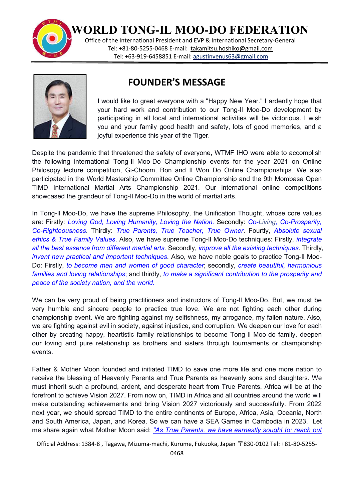

**WORLD TONG-IL MOO-DO FEDERATION**

Office of the International President and EVP & International Secretary-General Tel: +81-80-5255-0468 E-mail: [takamitsu.hoshiko@gmail.com](mailto:takamitsu.hoshiko@gmail.com) Tel: +63-919-6458851 E-mail: [agustinvenus63@gmail.com](mailto:agustinvenus63@gmail.com)



## **FOUNDER'S MESSAGE**

I would like to greet everyone with a "Happy New Year." I ardently hope that your hard work and contribution to our Tong-Il Moo-Do development by participating in all local and international activities will be victorious. I wish you and your family good health and safety, lots of good memories, and a joyful experience this year of the Tiger.

Despite the pandemic that threatened the safety of everyone, WTMF IHQ were able to accomplish the following international Tong-Il Moo-Do Championship events for the year 2021 on Online Philosopy lecture competition, Gi-Choom, Bon and Il Won Do Online Championships. We also participated in the World Mastership Committee Online Championship and the 9th Mombasa Open TIMD International Martial Arts Championship 2021. Our international online competitions showcased the grandeur of Tong-Il Moo-Do in the world of martial arts.

In Tong-Il Moo-Do, we have the supreme Philosophy, the Unification Thought, whose core values are: Firstly: *Loving God, Loving Humanity, Loving the Nation*.Secondly: *Co-Living, Co-Prosperity, Co-Righteousness*. Thirdly: *True Parents, True Teacher, True Owner*. Fourtly, *Absolute sexual ethics & True Family Values*. Also, we have supreme Tong-Il Moo-Do techniques: Firstly, *integrate all the best essence from different martial arts.* Secondly, *improve all the existing techniques.*Thirdly, *invent new practical and important techniques*. Also, we have noble goals to practice Tong-Il Moo- Do: Firstly, *to become men and women of good character*; secondly, *create beautiful, harmonious families and loving relationships*; and thirdly, *to make a significant contribution to the prosperity and peace of the society nation, and the world*.

We can be very proud of being practitioners and instructors of Tong-Il Moo-Do. But, we must be very humble and sincere people to practice true love. We are not fighting each other during championship event. We are fighting against my selfishness, my arrogance, my fallen nature. Also, we are fighting against evil in society, against injustice, and corruption. We deepen our love for each other by creating happy, heartistic family relationships to become Tong-Il Moo-do family, deepen our loving and pure relationship as brothers and sisters through tournaments or championship events.

Father & Mother Moon founded and initiated TIMD to save one more life and one more nation to receive the blessing of Heavenly Parents and True Parents as heavenly sons and daughters. We must inherit such a profound, ardent, and desperate heart from True Parents. Africa will be at the forefront to achieve Vision 2027. From nowon, TIMD in Africa and all countries around the world will make outstanding achievements and bring Vision 2027 victoriously and successfully. From 2022 next year, we should spread TIMD to the entire continents of Europe, Africa, Asia, Oceania, North and South America, Japan, and Korea. So we can have a SEA Games in Cambodia in 2023. Let me share again what Mother Moon said: *"As True Parents, we have earnestly sought to: reach out*

Official Address: 1384-8 , Tagawa, Mizuma-machi, Kurume, Fukuoka, Japan 〒830-0102 Tel: +81-80-5255-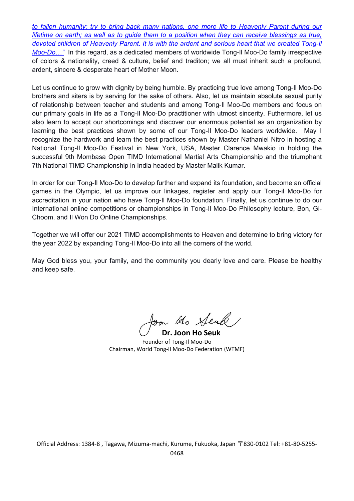*to fallen humanity; try to bring back many nations, one more life to Heavenly Parent during our* lifetime on earth; as well as to guide them to a position when they can receive blessings as true, *devoted children of Heavenly Parent. It is with the ardent and serious heart that we created Tong-Il Moo-Do...*" In this regard, as a dedicated members of worldwide Tong-Il Moo-Do family irrespective of colors & nationality, creed & culture, belief and traditon; we all must inherit such a profound, ardent, sincere & desperate heart of Mother Moon.

Let us continue to grow with dignity by being humble. By practicing true love among Tong-Il Moo-Do brothers and siters is by serving for the sake of others. Also, let us maintain absolute sexual purity of relationship between teacher and students and among Tong-Il Moo-Do members and focus on our primary goals in life as a Tong-Il Moo-Do practitioner with utmost sincerity. Futhermore, let us also learn to accept our shortcomings and discover our enormous potential as an organization by learning the best practices shown by some of our Tong-Il Moo-Do leaders worldwide. May I recognize the hardwork and learn the best practices shown by Master Nathaniel Nitro in hosting a National Tong-Il Moo-Do Festival in New York, USA, Master Clarence Mwakio in holding the successful 9th Mombasa Open TIMD International Martial Arts Championship and the triumphant 7th National TIMD Championship in India headed by Master Malik Kumar.

In order for our Tong-Il Moo-Do to develop further and expand its foundation, and become an official games in the Olympic, let us improve our linkages, register and apply our Tong-il Moo-Do for accreditation in your nation who have Tong-Il Moo-Do foundation. Finally, let us continue to do our International online competitions or championships in Tong-Il Moo-Do Philosophy lecture, Bon, Gi- Choom, and Il Won Do Online Championships.

Together we will offer our 2021 TIMD accomplishments to Heaven and determine to bring victory for the year 2022 by expanding Tong-Il Moo-Do into all the corners of the world.

May God bless you, your family, and the community you dearly love and care. Please be healthy and keep safe.

son the Seule

**Dr. Joon Ho Seuk** Founder of Tong-Il Moo-Do Chairman, World Tong-Il Moo-Do Federation (WTMF)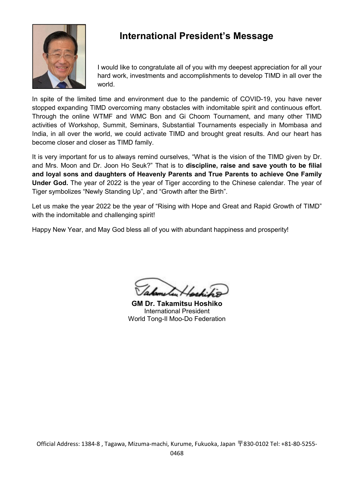

## **International President's Message**

I would like to congratulate all of you with my deepest appreciation for all your hard work, investments and accomplishments to develop TIMD in all over the world.

In spite of the limited time and environment due to the pandemic of COVID-19, you have never stopped expanding TIMD overcoming many obstacles with indomitable spirit and continuous effort. Through the online WTMF and WMC Bon and Gi Choom Tournament, and many other TIMD activities of Workshop, Summit, Seminars, Substantial Tournaments especially in Mombasa and India, in all over the world, we could activate TIMD and brought great results. And our heart has become closer and closer as TIMD family.

It is very important for us to always remind ourselves, "What is the vision of the TIMD given by Dr. and Mrs. Moon and Dr. Joon Ho Seuk?" That is to **discipline,raise and save youth to be filial and loyal sons and daughters of Heavenly Parents and True Parents to achieve One Family Under God.** The year of 2022 is the year of Tiger according to the Chinese calendar. The year of Tiger symbolizes "Newly Standing Up", and "Growth after the Birth".

Let us make the year 2022 be the year of "Rising with Hope and Great and Rapid Growth of TIMD" with the indomitable and challenging spirit!

Happy New Year, and May God bless all of you with abundant happiness and prosperity!

**GM Dr. Takamitsu Hoshiko** International President World Tong-Il Moo-Do Federation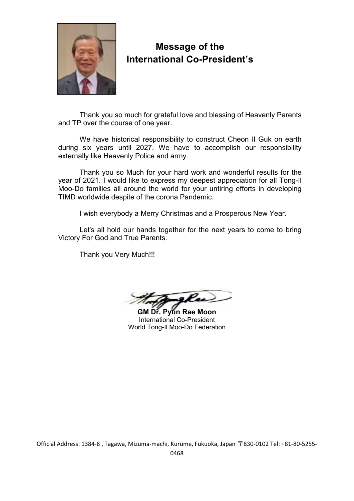

## **Message of the International Co-President's**

Thank you so much for grateful love and blessing of Heavenly Parents and TP over the course of one year.

We have historical responsibility to construct Cheon Il Guk on earth during six years until 2027. We have to accomplish our responsibility externally like Heavenly Police and army.

Thank you so Much for your hard work and wonderful results for the year of 2021. I would like to express my deepest appreciation for all Tong-Il Moo-Do families all around the world for your untiring efforts in developing TIMD worldwide despite of the corona Pandemic.

I wish everybody a Merry Christmas and a Prosperous New Year.

Let's all hold our hands together for the next years to come to bring Victory For God and True Parents.

Thank you Very Much!!!

**GM Dr. Pyun Rae Moon** International Co-President World Tong-Il Moo-Do Federation